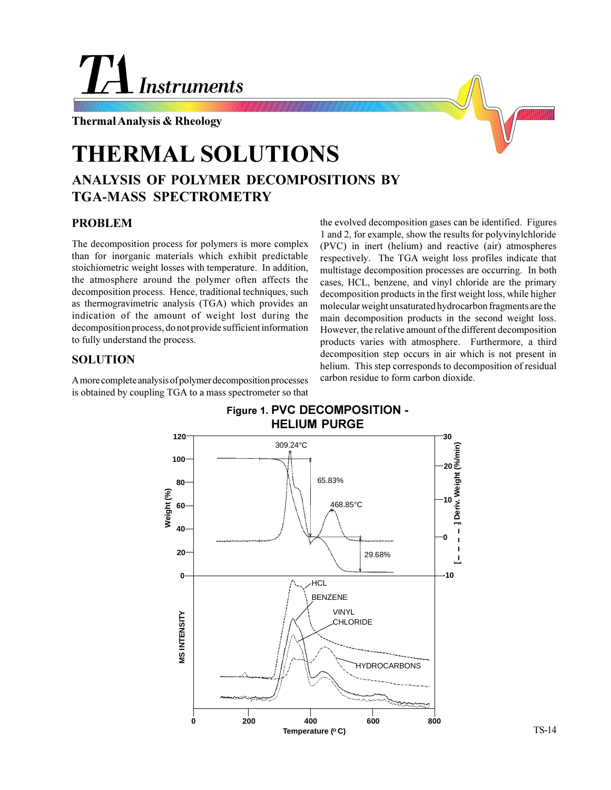# **Instruments**

**Thermal Analysis & Rheology**

# **THERMAL SOLUTIONS**

## **ANALYSIS OF POLYMER DECOMPOSITIONS BY TGA-MASS SPECTROMETRY**

### **PROBLEM**

The decomposition process for polymers is more complex than for inorganic materials which exhibit predictable stoichiometric weight losses with temperature. In addition, the atmosphere around the polymer often affects the decomposition process. Hence, traditional techniques, such as thermogravimetric analysis (TGA) which provides an indication of the amount of weight lost during the decomposition process, do not provide sufficient information to fully understand the process.

### **SOLUTION**

A more complete analysis of polymer decomposition processes is obtained by coupling TGA to a mass spectrometer so that the evolved decomposition gases can be identified. Figures 1 and 2, for example, show the results for polyvinylchloride (PVC) in inert (helium) and reactive (air) atmospheres respectively. The TGA weight loss profiles indicate that multistage decomposition processes are occurring. In both cases, HCL, benzene, and vinyl chloride are the primary decomposition products in the first weight loss, while higher molecular weight unsaturated hydrocarbon fragments are the main decomposition products in the second weight loss. However, the relative amount of the different decomposition products varies with atmosphere. Furthermore, a third decomposition step occurs in air which is not present in helium. This step corresponds to decomposition of residual carbon residue to form carbon dioxide.